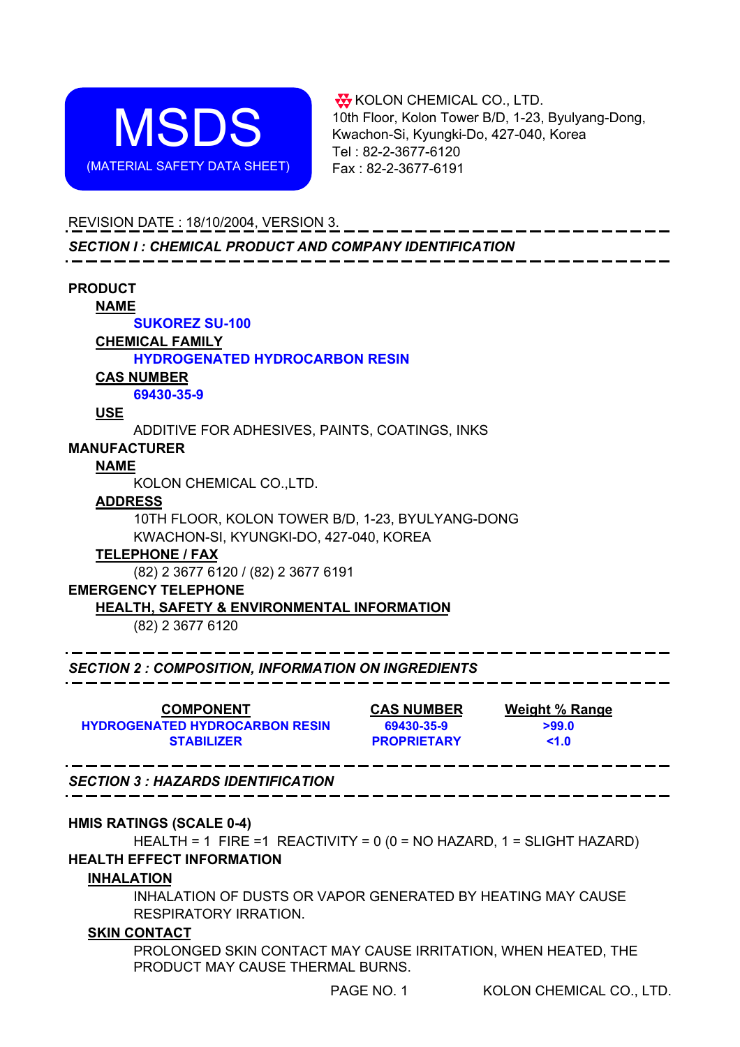

**W** KOLON CHEMICAL CO., LTD. 10th Floor, Kolon Tower B/D, 1-23, Byulyang-Dong, Kwachon-Si, Kyungki-Do, 427-040, Korea Tel : 82-2-3677-6120 Fax : 82-2-3677-6191

# REVISION DATE : 18/10/2004, VERSION 3.

*SECTION I : CHEMICAL PRODUCT AND COMPANY IDENTIFICATION*

| <b>PRODUCT</b>                                                        |                    |                                  |
|-----------------------------------------------------------------------|--------------------|----------------------------------|
| <b>NAME</b>                                                           |                    |                                  |
| <b>SUKOREZ SU-100</b>                                                 |                    |                                  |
| <b>CHEMICAL FAMILY</b>                                                |                    |                                  |
| <b>HYDROGENATED HYDROCARBON RESIN</b>                                 |                    |                                  |
| <b>CAS NUMBER</b>                                                     |                    |                                  |
| 69430-35-9                                                            |                    |                                  |
| <b>USE</b>                                                            |                    |                                  |
| ADDITIVE FOR ADHESIVES, PAINTS, COATINGS, INKS                        |                    |                                  |
| <b>MANUFACTURER</b>                                                   |                    |                                  |
| <b>NAME</b>                                                           |                    |                                  |
| KOLON CHEMICAL CO., LTD.                                              |                    |                                  |
| <b>ADDRESS</b>                                                        |                    |                                  |
| 10TH FLOOR, KOLON TOWER B/D, 1-23, BYULYANG-DONG                      |                    |                                  |
| KWACHON-SI, KYUNGKI-DO, 427-040, KOREA                                |                    |                                  |
| <b>TELEPHONE / FAX</b>                                                |                    |                                  |
| (82) 2 3677 6120 / (82) 2 3677 6191                                   |                    |                                  |
| <b>EMERGENCY TELEPHONE</b>                                            |                    |                                  |
| <b>HEALTH, SAFETY &amp; ENVIRONMENTAL INFORMATION</b>                 |                    |                                  |
| (82) 2 3677 6120                                                      |                    |                                  |
|                                                                       |                    |                                  |
| <b>SECTION 2 : COMPOSITION, INFORMATION ON INGREDIENTS</b>            |                    |                                  |
| <b>COMPONENT</b>                                                      |                    | <b>CAS NUMBER</b> Weight % Range |
| <b>HYDROGENATED HYDROCARBON RESIN</b>                                 | 69430-35-9         | >99.0                            |
| <b>STABILIZER</b>                                                     | <b>PROPRIETARY</b> | < 1.0                            |
| <b>SECTION 3: HAZARDS IDENTIFICATION</b>                              |                    |                                  |
|                                                                       |                    |                                  |
| <b>HMIS RATINGS (SCALE 0-4)</b>                                       |                    |                                  |
| HEALTH = 1 FIRE = 1 REACTIVITY = 0 (0 = NO HAZARD, 1 = SLIGHT HAZARD) |                    |                                  |

# **HEALTH EFFECT INFORMATION**

# **INHALATION**

INHALATION OF DUSTS OR VAPOR GENERATED BY HEATING MAY CAUSE RESPIRATORY IRRATION.

# **SKIN CONTACT**

PROLONGED SKIN CONTACT MAY CAUSE IRRITATION, WHEN HEATED, THE PRODUCT MAY CAUSE THERMAL BURNS.

PAGE NO. 1 KOLON CHEMICAL CO., LTD.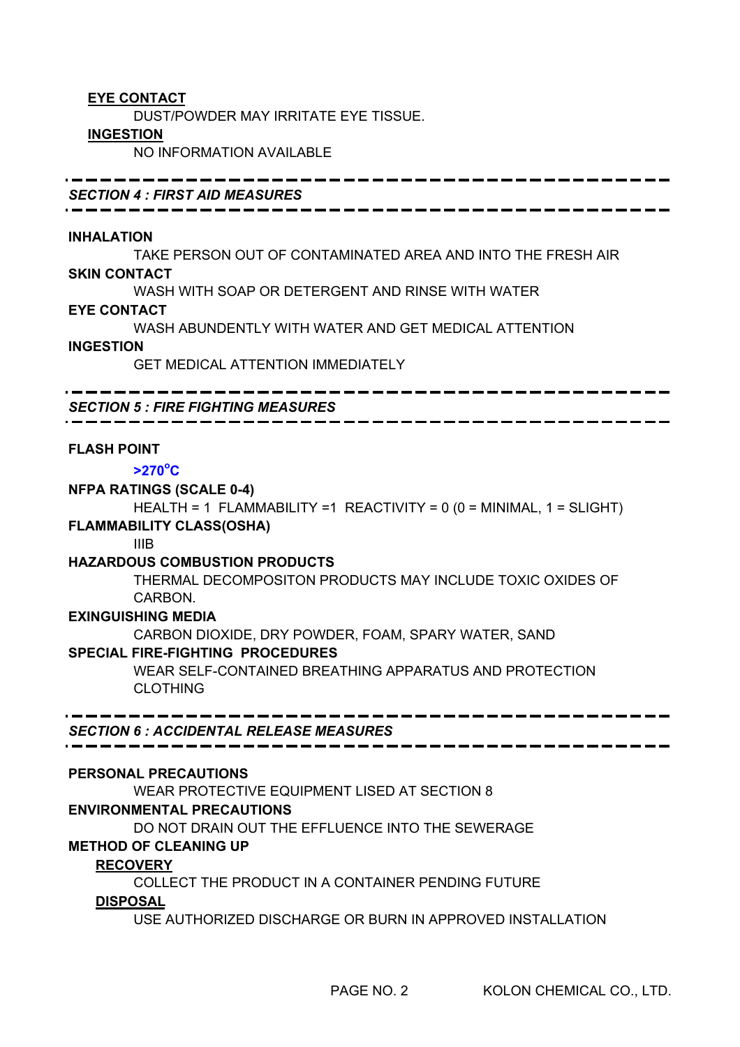# **EYE CONTACT**

DUST/POWDER MAY IRRITATE EYE TISSUE.

#### **INGESTION**

NO INFORMATION AVAILABLE

*SECTION 4 : FIRST AID MEASURES*

## **INHALATION**

TAKE PERSON OUT OF CONTAMINATED AREA AND INTO THE FRESH AIR **SKIN CONTACT**

WASH WITH SOAP OR DETERGENT AND RINSE WITH WATER

## **EYE CONTACT**

WASH ABUNDENTLY WITH WATER AND GET MEDICAL ATTENTION

#### **INGESTION**

GET MEDICAL ATTENTION IMMEDIATELY

*SECTION 5 : FIRE FIGHTING MEASURES*

## **FLASH POINT**

# **>270o C**

## **NFPA RATINGS (SCALE 0-4)**

HEALTH = 1 FLAMMABILITY =1 REACTIVITY = 0 (0 = MINIMAL, 1 = SLIGHT)

# **FLAMMABILITY CLASS(OSHA)**

IIIB

# **HAZARDOUS COMBUSTION PRODUCTS**

THERMAL DECOMPOSITON PRODUCTS MAY INCLUDE TOXIC OXIDES OF CARBON.

## **EXINGUISHING MEDIA**

CARBON DIOXIDE, DRY POWDER, FOAM, SPARY WATER, SAND

# **SPECIAL FIRE-FIGHTING PROCEDURES**

WEAR SELF-CONTAINED BREATHING APPARATUS AND PROTECTION CLOTHING

*SECTION 6 : ACCIDENTAL RELEASE MEASURES*

# **PERSONAL PRECAUTIONS**

WEAR PROTECTIVE EQUIPMENT LISED AT SECTION 8

# **ENVIRONMENTAL PRECAUTIONS**

DO NOT DRAIN OUT THE EFFLUENCE INTO THE SEWERAGE

# **METHOD OF CLEANING UP**

# **RECOVERY**

COLLECT THE PRODUCT IN A CONTAINER PENDING FUTURE

# **DISPOSAL**

USE AUTHORIZED DISCHARGE OR BURN IN APPROVED INSTALLATION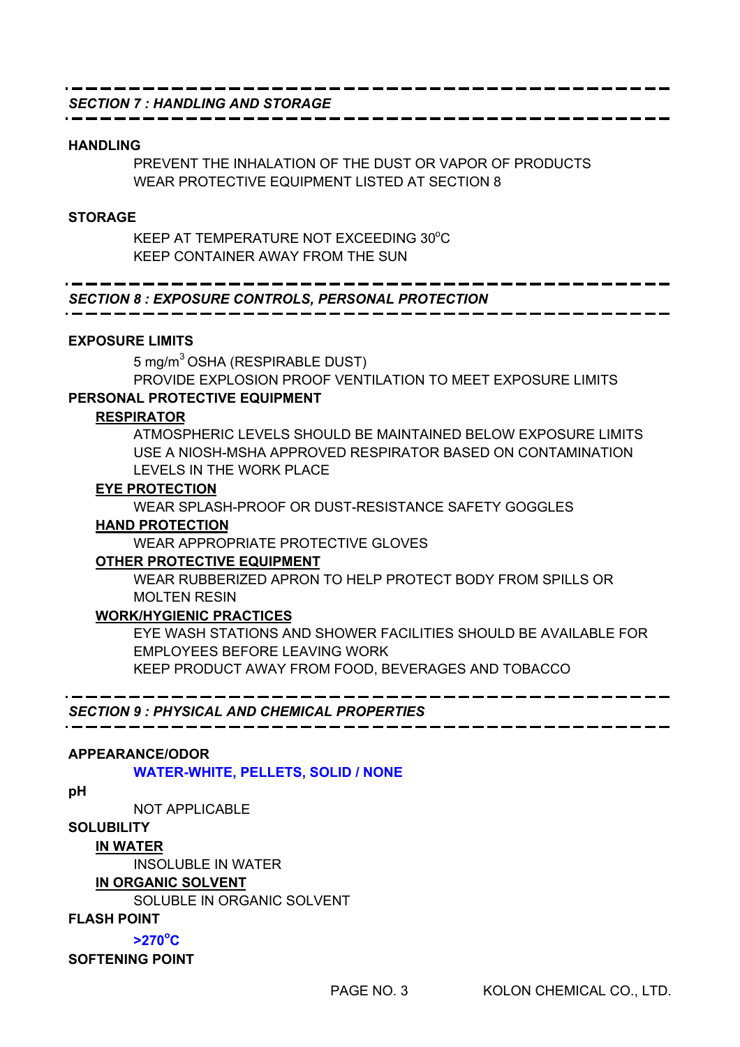# *SECTION 7 : HANDLING AND STORAGE*

#### **HANDLING**

PREVENT THE INHALATION OF THE DUST OR VAPOR OF PRODUCTS WEAR PROTECTIVE EQUIPMENT LISTED AT SECTION 8

#### **STORAGE**

KEEP AT TEMPERATURE NOT EXCEEDING 30°C KEEP CONTAINER AWAY FROM THE SUN

# *SECTION 8 : EXPOSURE CONTROLS, PERSONAL PROTECTION*

#### **EXPOSURE LIMITS**

5 mg/m<sup>3</sup> OSHA (RESPIRABLE DUST)

PROVIDE EXPLOSION PROOF VENTILATION TO MEET EXPOSURE LIMITS **PERSONAL PROTECTIVE EQUIPMENT**

#### **RESPIRATOR**

ATMOSPHERIC LEVELS SHOULD BE MAINTAINED BELOW EXPOSURE LIMITS USE A NIOSH-MSHA APPROVED RESPIRATOR BASED ON CONTAMINATION LEVELS IN THE WORK PLACE

#### **EYE PROTECTION**

WEAR SPLASH-PROOF OR DUST-RESISTANCE SAFETY GOGGLES

## **HAND PROTECTION**

WEAR APPROPRIATE PROTECTIVE GLOVES

#### **OTHER PROTECTIVE EQUIPMENT**

WEAR RUBBERIZED APRON TO HELP PROTECT BODY FROM SPILLS OR MOLTEN RESIN

#### **WORK/HYGIENIC PRACTICES**

EYE WASH STATIONS AND SHOWER FACILITIES SHOULD BE AVAILABLE FOR EMPLOYEES BEFORE LEAVING WORK

KEEP PRODUCT AWAY FROM FOOD, BEVERAGES AND TOBACCO

#### *SECTION 9 : PHYSICAL AND CHEMICAL PROPERTIES*

#### **APPEARANCE/ODOR**

**WATER-WHITE, PELLETS, SOLID / NONE**

**pH**

NOT APPLICABLE

#### **SOLUBILITY**

 **IN WATER**

INSOLUBLE IN WATER

#### **IN ORGANIC SOLVENT**

SOLUBLE IN ORGANIC SOLVENT

**FLASH POINT**

**>270o C**

#### **SOFTENING POINT**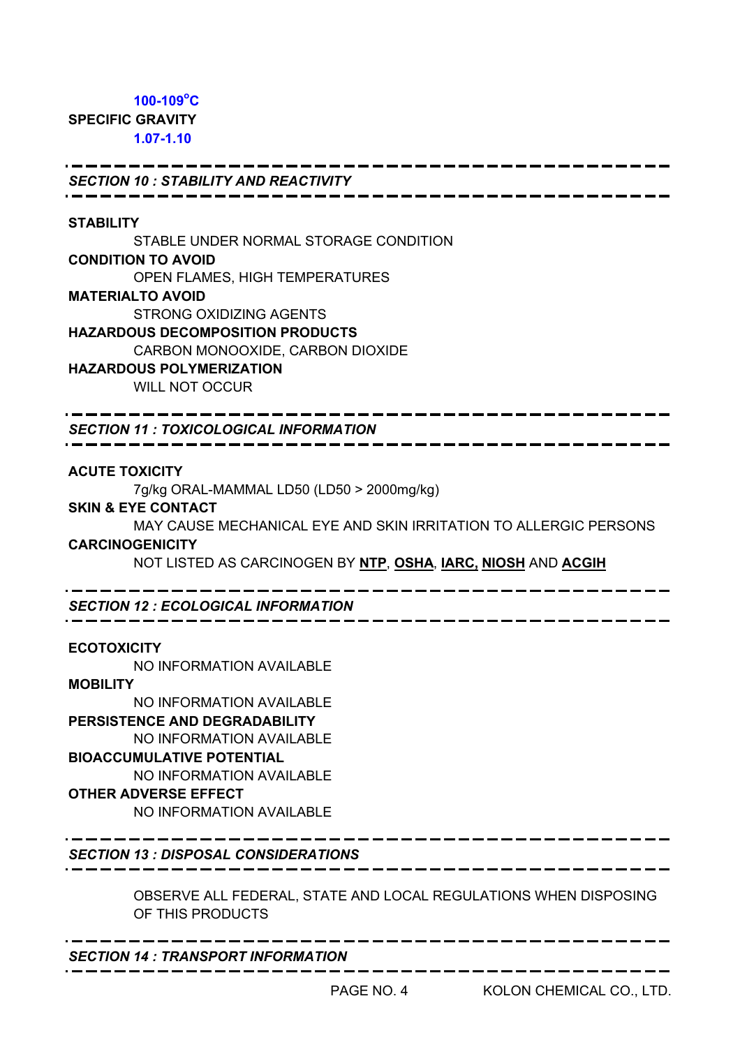# **100-109o C SPECIFIC GRAVITY 1.07-1.10**

## *SECTION 10 : STABILITY AND REACTIVITY*

#### **STABILITY**

STABLE UNDER NORMAL STORAGE CONDITION **CONDITION TO AVOID** OPEN FLAMES, HIGH TEMPERATURES **MATERIALTO AVOID** STRONG OXIDIZING AGENTS **HAZARDOUS DECOMPOSITION PRODUCTS** CARBON MONOOXIDE, CARBON DIOXIDE **HAZARDOUS POLYMERIZATION** WILL NOT OCCUR

*SECTION 11 : TOXICOLOGICAL INFORMATION*

#### **ACUTE TOXICITY**

7g/kg ORAL-MAMMAL LD50 (LD50 > 2000mg/kg)

#### **SKIN & EYE CONTACT**

MAY CAUSE MECHANICAL EYE AND SKIN IRRITATION TO ALLERGIC PERSONS

# **CARCINOGENICITY**

NOT LISTED AS CARCINOGEN BY **NTP**, **OSHA**, **IARC, NIOSH** AND **ACGIH**

*SECTION 12 : ECOLOGICAL INFORMATION*

#### **ECOTOXICITY**

NO INFORMATION AVAILABLE

#### **MOBILITY**

NO INFORMATION AVAILABLE **PERSISTENCE AND DEGRADABILITY** NO INFORMATION AVAILABLE **BIOACCUMULATIVE POTENTIAL** NO INFORMATION AVAILABLE **OTHER ADVERSE EFFECT**

NO INFORMATION AVAILABLE

*SECTION 13 : DISPOSAL CONSIDERATIONS*

OBSERVE ALL FEDERAL, STATE AND LOCAL REGULATIONS WHEN DISPOSING OF THIS PRODUCTS